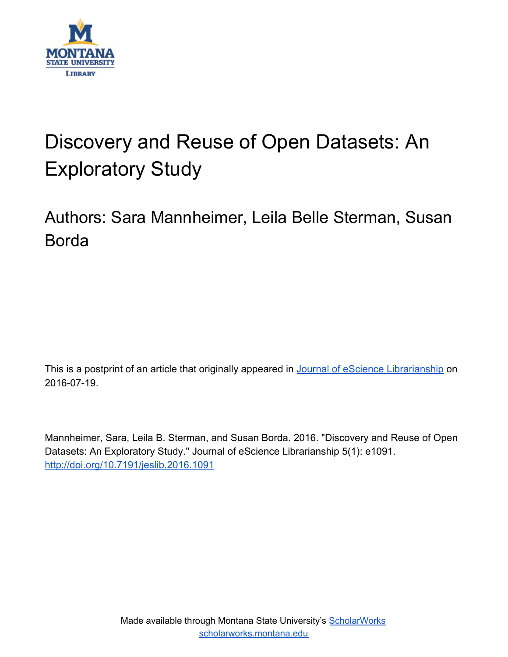

# Discovery and Reuse of Open Datasets: An Exploratory Study

## Authors: Sara Mannheimer, Leila Belle Sterman, Susan Borda

This is a postprint of an article that originally appeared in [Journal of eScience Librarianship](https://escholarship.umassmed.edu/jeslib/) on 2016-07-19.

Mannheimer, Sara, Leila B. Sterman, and Susan Borda. 2016. "Discovery and Reuse of Open Datasets: An Exploratory Study." Journal of eScience Librarianship 5(1): e1091. <http://doi.org/10.7191/jeslib.2016.1091>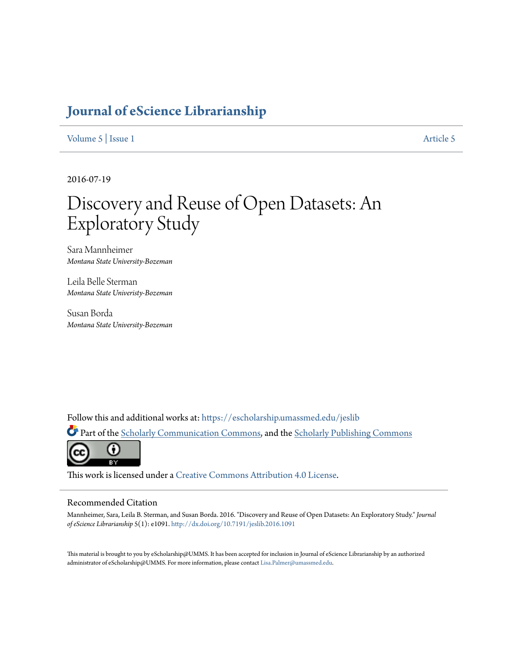### **[Journal of eScience Librarianship](https://escholarship.umassmed.edu/jeslib?utm_source=escholarship.umassmed.edu%2Fjeslib%2Fvol5%2Fiss1%2F5&utm_medium=PDF&utm_campaign=PDFCoverPages)**

[Volume 5](https://escholarship.umassmed.edu/jeslib/vol5?utm_source=escholarship.umassmed.edu%2Fjeslib%2Fvol5%2Fiss1%2F5&utm_medium=PDF&utm_campaign=PDFCoverPages) | [Issue 1](https://escholarship.umassmed.edu/jeslib/vol5/iss1?utm_source=escholarship.umassmed.edu%2Fjeslib%2Fvol5%2Fiss1%2F5&utm_medium=PDF&utm_campaign=PDFCoverPages) [Article 5](https://escholarship.umassmed.edu/jeslib/vol5/iss1/5?utm_source=escholarship.umassmed.edu%2Fjeslib%2Fvol5%2Fiss1%2F5&utm_medium=PDF&utm_campaign=PDFCoverPages)

2016-07-19

## Discovery and Reuse of Open Datasets: An Exploratory Study

Sara Mannheimer *Montana State University-Bozeman*

Leila Belle Sterman *Montana State Univeristy-Bozeman*

Susan Borda *Montana State University-Bozeman*

Follow this and additional works at: [https://escholarship.umassmed.edu/jeslib](https://escholarship.umassmed.edu/jeslib?utm_source=escholarship.umassmed.edu%2Fjeslib%2Fvol5%2Fiss1%2F5&utm_medium=PDF&utm_campaign=PDFCoverPages)

Part of the [Scholarly Communication Commons](http://network.bepress.com/hgg/discipline/1272?utm_source=escholarship.umassmed.edu%2Fjeslib%2Fvol5%2Fiss1%2F5&utm_medium=PDF&utm_campaign=PDFCoverPages), and the [Scholarly Publishing Commons](http://network.bepress.com/hgg/discipline/1273?utm_source=escholarship.umassmed.edu%2Fjeslib%2Fvol5%2Fiss1%2F5&utm_medium=PDF&utm_campaign=PDFCoverPages)



This work is licensed under a [Creative Commons Attribution 4.0 License.](https://creativecommons.org/licenses/by/4.0/)

#### Recommended Citation

Mannheimer, Sara, Leila B. Sterman, and Susan Borda. 2016. "Discovery and Reuse of Open Datasets: An Exploratory Study." *Journal of eScience Librarianship* 5(1): e1091. <http://dx.doi.org/10.7191/jeslib.2016.1091>

This material is brought to you by eScholarship@UMMS. It has been accepted for inclusion in Journal of eScience Librarianship by an authorized administrator of eScholarship@UMMS. For more information, please contact [Lisa.Palmer@umassmed.edu.](mailto:Lisa.Palmer@umassmed.edu)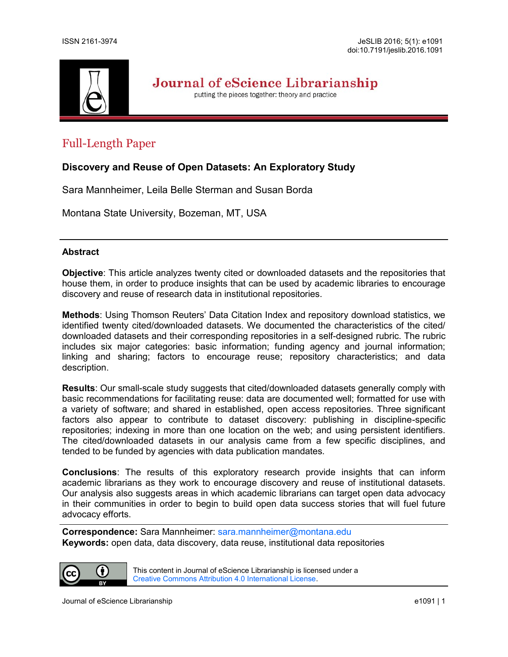

Journal of eScience Librarianship

putting the pieces together: theory and practice

### Full-Length Paper

#### **Discovery and Reuse of Open Datasets: An Exploratory Study**

Sara Mannheimer, Leila Belle Sterman and Susan Borda

Montana State University, Bozeman, MT, USA

#### **Abstract**

**Objective**: This article analyzes twenty cited or downloaded datasets and the repositories that house them, in order to produce insights that can be used by academic libraries to encourage discovery and reuse of research data in institutional repositories.

**Methods**: Using Thomson Reuters' Data Citation Index and repository download statistics, we identified twenty cited/downloaded datasets. We documented the characteristics of the cited/ downloaded datasets and their corresponding repositories in a self-designed rubric. The rubric includes six major categories: basic information; funding agency and journal information; linking and sharing; factors to encourage reuse; repository characteristics; and data description.

**Results**: Our small-scale study suggests that cited/downloaded datasets generally comply with basic recommendations for facilitating reuse: data are documented well; formatted for use with a variety of software; and shared in established, open access repositories. Three significant factors also appear to contribute to dataset discovery: publishing in discipline-specific repositories; indexing in more than one location on the web; and using persistent identifiers. The cited/downloaded datasets in our analysis came from a few specific disciplines, and tended to be funded by agencies with data publication mandates.

**Conclusions**: The results of this exploratory research provide insights that can inform academic librarians as they work to encourage discovery and reuse of institutional datasets. Our analysis also suggests areas in which academic librarians can target open data advocacy in their communities in order to begin to build open data success stories that will fuel future advocacy efforts.

**Correspondence:** Sara Mannheimer: [sara.mannheimer@montana.edu](mailto:sara.mannheimer@montana.edu) **Keywords:** open data, data discovery, data reuse, institutional data repositories



This content in Journal of eScience Librarianship is licensed under a [Creative Commons Attribution 4.0 International License.](http://creativecommons.org/licenses/by/4.0/)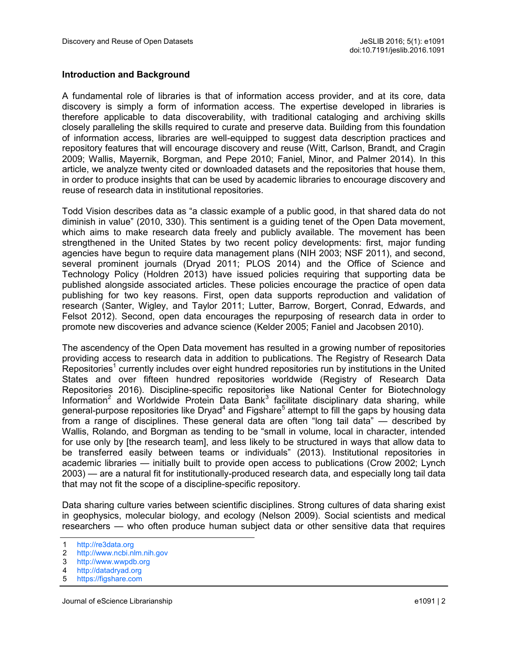#### **Introduction and Background**

A fundamental role of libraries is that of information access provider, and at its core, data discovery is simply a form of information access. The expertise developed in libraries is therefore applicable to data discoverability, with traditional cataloging and archiving skills closely paralleling the skills required to curate and preserve data. Building from this foundation of information access, libraries are well-equipped to suggest data description practices and repository features that will encourage discovery and reuse (Witt, Carlson, Brandt, and Cragin 2009; Wallis, Mayernik, Borgman, and Pepe 2010; Faniel, Minor, and Palmer 2014). In this article, we analyze twenty cited or downloaded datasets and the repositories that house them, in order to produce insights that can be used by academic libraries to encourage discovery and reuse of research data in institutional repositories.

Todd Vision describes data as "a classic example of a public good, in that shared data do not diminish in value" (2010, 330). This sentiment is a guiding tenet of the Open Data movement, which aims to make research data freely and publicly available. The movement has been strengthened in the United States by two recent policy developments: first, major funding agencies have begun to require data management plans (NIH 2003; NSF 2011), and second, several prominent journals (Dryad 2011; PLOS 2014) and the Office of Science and Technology Policy (Holdren 2013) have issued policies requiring that supporting data be published alongside associated articles. These policies encourage the practice of open data publishing for two key reasons. First, open data supports reproduction and validation of research (Santer, Wigley, and Taylor 2011; Lutter, Barrow, Borgert, Conrad, Edwards, and Felsot 2012). Second, open data encourages the repurposing of research data in order to promote new discoveries and advance science (Kelder 2005; Faniel and Jacobsen 2010).

The ascendency of the Open Data movement has resulted in a growing number of repositories providing access to research data in addition to publications. The Registry of Research Data Repositories<sup>1</sup> currently includes over eight hundred repositories run by institutions in the United States and over fifteen hundred repositories worldwide (Registry of Research Data Repositories 2016). Discipline-specific repositories like National Center for Biotechnology Information<sup>2</sup> and Worldwide Protein Data Bank<sup>3</sup> facilitate disciplinary data sharing, while general-purpose repositories like Dryad<sup>4</sup> and Figshare<sup>5</sup> attempt to fill the gaps by housing data from a range of disciplines. These general data are often "long tail data" — described by Wallis, Rolando, and Borgman as tending to be "small in volume, local in character, intended for use only by [the research team], and less likely to be structured in ways that allow data to be transferred easily between teams or individuals" (2013). Institutional repositories in academic libraries — initially built to provide open access to publications (Crow 2002; Lynch 2003) — are a natural fit for institutionally-produced research data, and especially long tail data that may not fit the scope of a discipline-specific repository.

Data sharing culture varies between scientific disciplines. Strong cultures of data sharing exist in geophysics, molecular biology, and ecology (Nelson 2009). Social scientists and medical researchers — who often produce human subject data or other sensitive data that requires

<sup>1</sup> <http://re3data.org>

<sup>2</sup> <http://www.ncbi.nlm.nih.gov>

<sup>3</sup> <http://www.wwpdb.org>

<sup>4</sup> <http://datadryad.org>

<sup>5</sup> <https://figshare.com>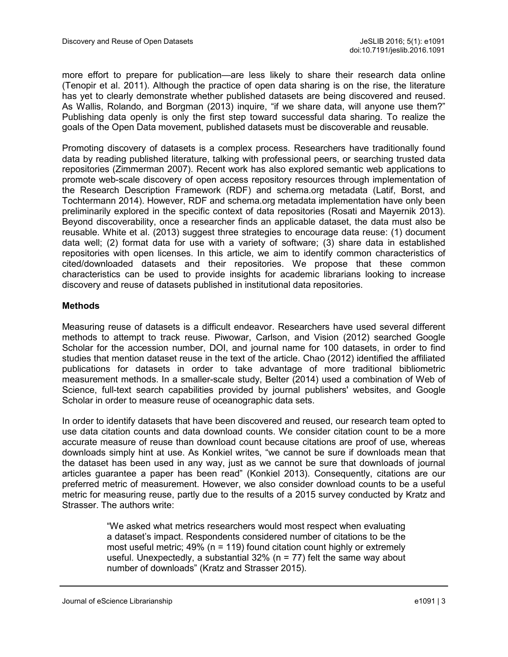more effort to prepare for publication—are less likely to share their research data online (Tenopir et al. 2011). Although the practice of open data sharing is on the rise, the literature has yet to clearly demonstrate whether published datasets are being discovered and reused. As Wallis, Rolando, and Borgman (2013) inquire, "if we share data, will anyone use them?" Publishing data openly is only the first step toward successful data sharing. To realize the goals of the Open Data movement, published datasets must be discoverable and reusable.

Promoting discovery of datasets is a complex process. Researchers have traditionally found data by reading published literature, talking with professional peers, or searching trusted data repositories (Zimmerman 2007). Recent work has also explored semantic web applications to promote web-scale discovery of open access repository resources through implementation of the Research Description Framework (RDF) and schema.org metadata (Latif, Borst, and Tochtermann 2014). However, RDF and schema.org metadata implementation have only been preliminarily explored in the specific context of data repositories (Rosati and Mayernik 2013). Beyond discoverability, once a researcher finds an applicable dataset, the data must also be reusable. White et al. (2013) suggest three strategies to encourage data reuse: (1) document data well; (2) format data for use with a variety of software; (3) share data in established repositories with open licenses. In this article, we aim to identify common characteristics of cited/downloaded datasets and their repositories. We propose that these common characteristics can be used to provide insights for academic librarians looking to increase discovery and reuse of datasets published in institutional data repositories.

#### **Methods**

Measuring reuse of datasets is a difficult endeavor. Researchers have used several different methods to attempt to track reuse. Piwowar, Carlson, and Vision (2012) searched Google Scholar for the accession number, DOI, and journal name for 100 datasets, in order to find studies that mention dataset reuse in the text of the article. Chao (2012) identified the affiliated publications for datasets in order to take advantage of more traditional bibliometric measurement methods. In a smaller-scale study, Belter (2014) used a combination of Web of Science, full-text search capabilities provided by journal publishers' websites, and Google Scholar in order to measure reuse of oceanographic data sets.

In order to identify datasets that have been discovered and reused, our research team opted to use data citation counts and data download counts. We consider citation count to be a more accurate measure of reuse than download count because citations are proof of use, whereas downloads simply hint at use. As Konkiel writes, "we cannot be sure if downloads mean that the dataset has been used in any way, just as we cannot be sure that downloads of journal articles guarantee a paper has been read" (Konkiel 2013). Consequently, citations are our preferred metric of measurement. However, we also consider download counts to be a useful metric for measuring reuse, partly due to the results of a 2015 survey conducted by Kratz and Strasser. The authors write:

> "We asked what metrics researchers would most respect when evaluating a dataset's impact. Respondents considered number of citations to be the most useful metric; 49% (n = 119) found citation count highly or extremely useful. Unexpectedly, a substantial  $32\%$  (n = 77) felt the same way about number of downloads" (Kratz and Strasser 2015).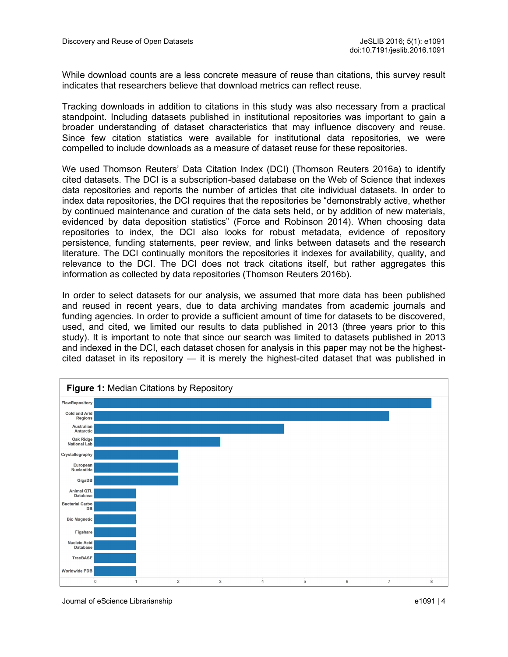While download counts are a less concrete measure of reuse than citations, this survey result indicates that researchers believe that download metrics can reflect reuse.

Tracking downloads in addition to citations in this study was also necessary from a practical standpoint. Including datasets published in institutional repositories was important to gain a broader understanding of dataset characteristics that may influence discovery and reuse. Since few citation statistics were available for institutional data repositories, we were compelled to include downloads as a measure of dataset reuse for these repositories.

We used Thomson Reuters' Data Citation Index (DCI) (Thomson Reuters 2016a) to identify cited datasets. The DCI is a subscription-based database on the Web of Science that indexes data repositories and reports the number of articles that cite individual datasets. In order to index data repositories, the DCI requires that the repositories be "demonstrably active, whether by continued maintenance and curation of the data sets held, or by addition of new materials, evidenced by data deposition statistics" (Force and Robinson 2014). When choosing data repositories to index, the DCI also looks for robust metadata, evidence of repository persistence, funding statements, peer review, and links between datasets and the research literature. The DCI continually monitors the repositories it indexes for availability, quality, and relevance to the DCI. The DCI does not track citations itself, but rather aggregates this information as collected by data repositories (Thomson Reuters 2016b).

In order to select datasets for our analysis, we assumed that more data has been published and reused in recent years, due to data archiving mandates from academic journals and funding agencies. In order to provide a sufficient amount of time for datasets to be discovered, used, and cited, we limited our results to data published in 2013 (three years prior to this study). It is important to note that since our search was limited to datasets published in 2013 and indexed in the DCI, each dataset chosen for analysis in this paper may not be the highestcited dataset in its repository — it is merely the highest-cited dataset that was published in

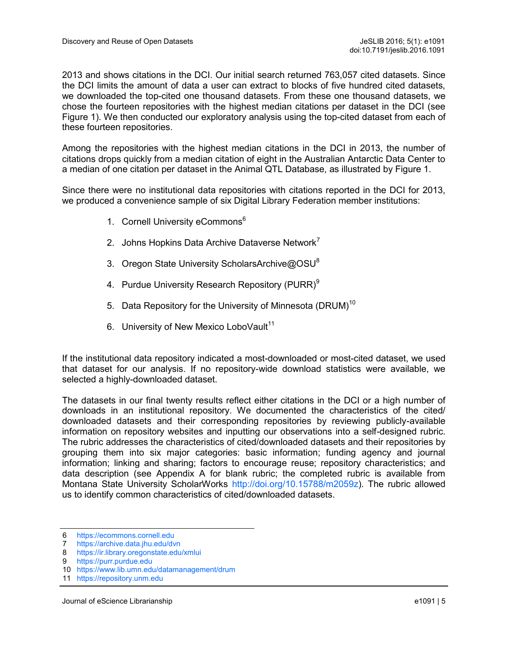2013 and shows citations in the DCI. Our initial search returned 763,057 cited datasets. Since the DCI limits the amount of data a user can extract to blocks of five hundred cited datasets, we downloaded the top-cited one thousand datasets. From these one thousand datasets, we chose the fourteen repositories with the highest median citations per dataset in the DCI (see Figure 1). We then conducted our exploratory analysis using the top-cited dataset from each of these fourteen repositories.

Among the repositories with the highest median citations in the DCI in 2013, the number of citations drops quickly from a median citation of eight in the Australian Antarctic Data Center to a median of one citation per dataset in the Animal QTL Database, as illustrated by Figure 1.

Since there were no institutional data repositories with citations reported in the DCI for 2013, we produced a convenience sample of six Digital Library Federation member institutions:

- 1. Cornell University eCommons<sup>6</sup>
- 2. Johns Hopkins Data Archive Dataverse Network<sup>1</sup>
- 3. Oregon State University ScholarsArchive@OSU<sup>8</sup>
- 4. Purdue University Research Repository (PURR)<sup>9</sup>
- 5. Data Repository for the University of Minnesota (DRUM)<sup>10</sup>
- 6. University of New Mexico LoboVault<sup>11</sup>

If the institutional data repository indicated a most-downloaded or most-cited dataset, we used that dataset for our analysis. If no repository-wide download statistics were available, we selected a highly-downloaded dataset.

The datasets in our final twenty results reflect either citations in the DCI or a high number of downloads in an institutional repository. We documented the characteristics of the cited/ downloaded datasets and their corresponding repositories by reviewing publicly-available information on repository websites and inputting our observations into a self-designed rubric. The rubric addresses the characteristics of cited/downloaded datasets and their repositories by grouping them into six major categories: basic information; funding agency and journal information; linking and sharing; factors to encourage reuse; repository characteristics; and data description (see Appendix A for blank rubric; the completed rubric is available from Montana State University ScholarWorks [http://doi.org/10.15788/m2059z\).](http://doi.org/10.15788/m2059z) The rubric allowed us to identify common characteristics of cited/downloaded datasets.

<sup>6</sup> <https://ecommons.cornell.edu><br>7 https://archive.data.jhu.edu/dv

<https://archive.data.jhu.edu/dvn>

<sup>8</sup> <https://ir.library.oregonstate.edu/xmlui>

<sup>9</sup> <https://purr.purdue.edu>

<sup>10</sup> <https://www.lib.umn.edu/datamanagement/drum>

<sup>11</sup> <https://repository.unm.edu>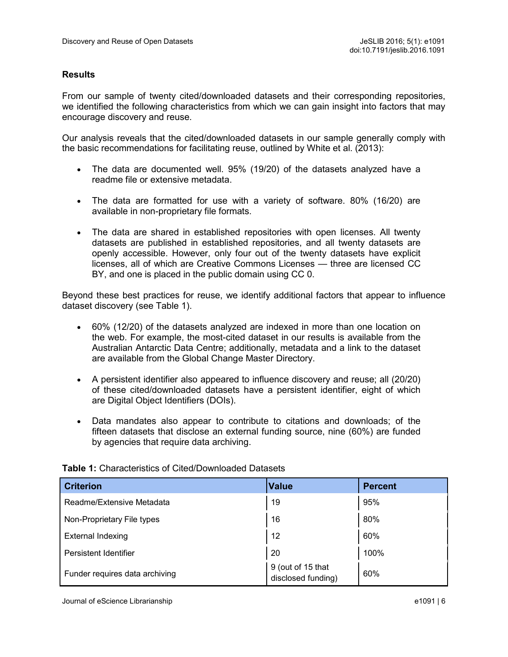#### **Results**

From our sample of twenty cited/downloaded datasets and their corresponding repositories, we identified the following characteristics from which we can gain insight into factors that may encourage discovery and reuse.

Our analysis reveals that the cited/downloaded datasets in our sample generally comply with the basic recommendations for facilitating reuse, outlined by White et al. (2013):

- The data are documented well. 95% (19/20) of the datasets analyzed have a readme file or extensive metadata.
- The data are formatted for use with a variety of software. 80% (16/20) are available in non-proprietary file formats.
- The data are shared in established repositories with open licenses. All twenty datasets are published in established repositories, and all twenty datasets are openly accessible. However, only four out of the twenty datasets have explicit licenses, all of which are Creative Commons Licenses — three are licensed CC BY, and one is placed in the public domain using CC 0.

Beyond these best practices for reuse, we identify additional factors that appear to influence dataset discovery (see Table 1).

- 60% (12/20) of the datasets analyzed are indexed in more than one location on the web. For example, the most-cited dataset in our results is available from the Australian Antarctic Data Centre; additionally, metadata and a link to the dataset are available from the Global Change Master Directory.
- A persistent identifier also appeared to influence discovery and reuse; all (20/20) of these cited/downloaded datasets have a persistent identifier, eight of which are Digital Object Identifiers (DOIs).
- Data mandates also appear to contribute to citations and downloads; of the fifteen datasets that disclose an external funding source, nine (60%) are funded by agencies that require data archiving.

| <b>Criterion</b>               | <b>Value</b>                            | <b>Percent</b> |
|--------------------------------|-----------------------------------------|----------------|
| Readme/Extensive Metadata      | 19                                      | 95%            |
| Non-Proprietary File types     | 16                                      | 80%            |
| <b>External Indexing</b>       | 12                                      | 60%            |
| Persistent Identifier          | 20                                      | 100%           |
| Funder requires data archiving | 9 (out of 15 that<br>disclosed funding) | 60%            |

#### **Table 1:** Characteristics of Cited/Downloaded Datasets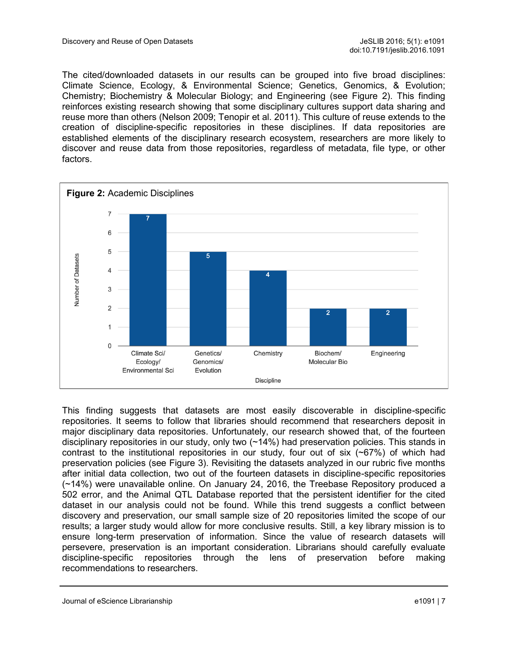The cited/downloaded datasets in our results can be grouped into five broad disciplines: Climate Science, Ecology, & Environmental Science; Genetics, Genomics, & Evolution; Chemistry; Biochemistry & Molecular Biology; and Engineering (see Figure 2). This finding reinforces existing research showing that some disciplinary cultures support data sharing and reuse more than others (Nelson 2009; Tenopir et al. 2011). This culture of reuse extends to the creation of discipline-specific repositories in these disciplines. If data repositories are established elements of the disciplinary research ecosystem, researchers are more likely to discover and reuse data from those repositories, regardless of metadata, file type, or other factors.



This finding suggests that datasets are most easily discoverable in discipline-specific repositories. It seems to follow that libraries should recommend that researchers deposit in major disciplinary data repositories. Unfortunately, our research showed that, of the fourteen disciplinary repositories in our study, only two (~14%) had preservation policies. This stands in contrast to the institutional repositories in our study, four out of six  $(~67%)$  of which had preservation policies (see Figure 3). Revisiting the datasets analyzed in our rubric five months after initial data collection, two out of the fourteen datasets in discipline-specific repositories (~14%) were unavailable online. On January 24, 2016, the Treebase Repository produced a 502 error, and the Animal QTL Database reported that the persistent identifier for the cited dataset in our analysis could not be found. While this trend suggests a conflict between discovery and preservation, our small sample size of 20 repositories limited the scope of our results; a larger study would allow for more conclusive results. Still, a key library mission is to ensure long-term preservation of information. Since the value of research datasets will persevere, preservation is an important consideration. Librarians should carefully evaluate discipline-specific repositories through the lens of preservation before making recommendations to researchers.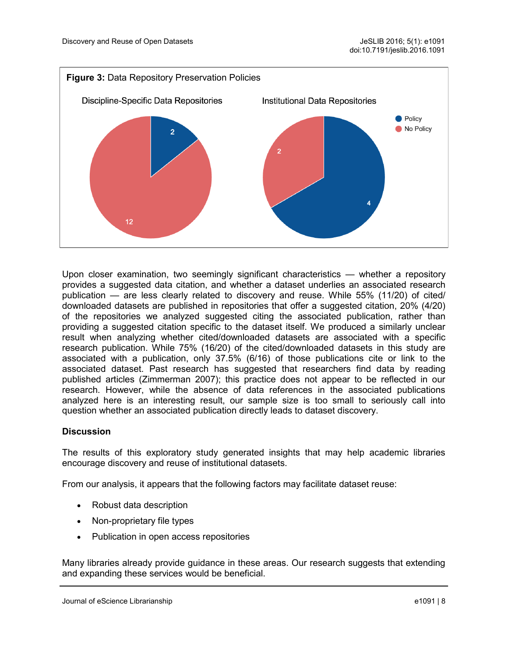

Upon closer examination, two seemingly significant characteristics — whether a repository provides a suggested data citation, and whether a dataset underlies an associated research publication — are less clearly related to discovery and reuse. While 55% (11/20) of cited/ downloaded datasets are published in repositories that offer a suggested citation, 20% (4/20) of the repositories we analyzed suggested citing the associated publication, rather than providing a suggested citation specific to the dataset itself. We produced a similarly unclear result when analyzing whether cited/downloaded datasets are associated with a specific research publication. While 75% (16/20) of the cited/downloaded datasets in this study are associated with a publication, only 37.5% (6/16) of those publications cite or link to the associated dataset. Past research has suggested that researchers find data by reading published articles (Zimmerman 2007); this practice does not appear to be reflected in our research. However, while the absence of data references in the associated publications analyzed here is an interesting result, our sample size is too small to seriously call into question whether an associated publication directly leads to dataset discovery.

#### **Discussion**

The results of this exploratory study generated insights that may help academic libraries encourage discovery and reuse of institutional datasets.

From our analysis, it appears that the following factors may facilitate dataset reuse:

- Robust data description
- Non-proprietary file types
- Publication in open access repositories

Many libraries already provide guidance in these areas. Our research suggests that extending and expanding these services would be beneficial.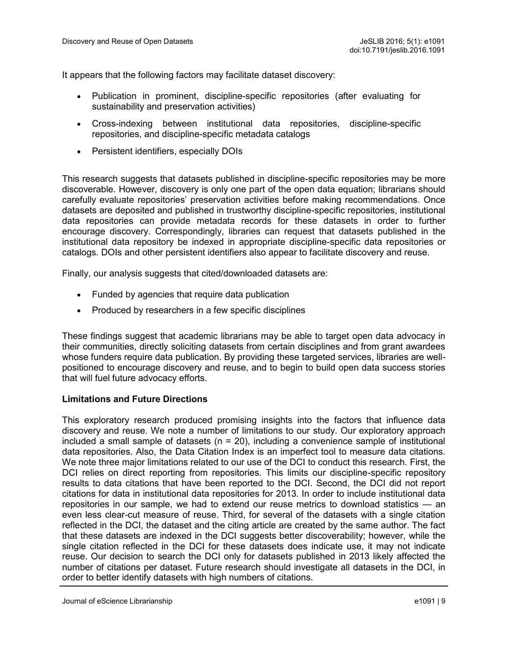It appears that the following factors may facilitate dataset discovery:

- Publication in prominent, discipline-specific repositories (after evaluating for sustainability and preservation activities)
- Cross-indexing between institutional data repositories, discipline-specific repositories, and discipline-specific metadata catalogs
- Persistent identifiers, especially DOIs

This research suggests that datasets published in discipline-specific repositories may be more discoverable. However, discovery is only one part of the open data equation; librarians should carefully evaluate repositories' preservation activities before making recommendations. Once datasets are deposited and published in trustworthy discipline-specific repositories, institutional data repositories can provide metadata records for these datasets in order to further encourage discovery. Correspondingly, libraries can request that datasets published in the institutional data repository be indexed in appropriate discipline-specific data repositories or catalogs. DOIs and other persistent identifiers also appear to facilitate discovery and reuse.

Finally, our analysis suggests that cited/downloaded datasets are:

- Funded by agencies that require data publication
- Produced by researchers in a few specific disciplines

These findings suggest that academic librarians may be able to target open data advocacy in their communities, directly soliciting datasets from certain disciplines and from grant awardees whose funders require data publication. By providing these targeted services, libraries are wellpositioned to encourage discovery and reuse, and to begin to build open data success stories that will fuel future advocacy efforts.

#### **Limitations and Future Directions**

This exploratory research produced promising insights into the factors that influence data discovery and reuse. We note a number of limitations to our study. Our exploratory approach included a small sample of datasets ( $n = 20$ ), including a convenience sample of institutional data repositories. Also, the Data Citation Index is an imperfect tool to measure data citations. We note three major limitations related to our use of the DCI to conduct this research. First, the DCI relies on direct reporting from repositories. This limits our discipline-specific repository results to data citations that have been reported to the DCI. Second, the DCI did not report citations for data in institutional data repositories for 2013. In order to include institutional data repositories in our sample, we had to extend our reuse metrics to download statistics — an even less clear-cut measure of reuse. Third, for several of the datasets with a single citation reflected in the DCI, the dataset and the citing article are created by the same author. The fact that these datasets are indexed in the DCI suggests better discoverability; however, while the single citation reflected in the DCI for these datasets does indicate use, it may not indicate reuse. Our decision to search the DCI only for datasets published in 2013 likely affected the number of citations per dataset. Future research should investigate all datasets in the DCI, in order to better identify datasets with high numbers of citations.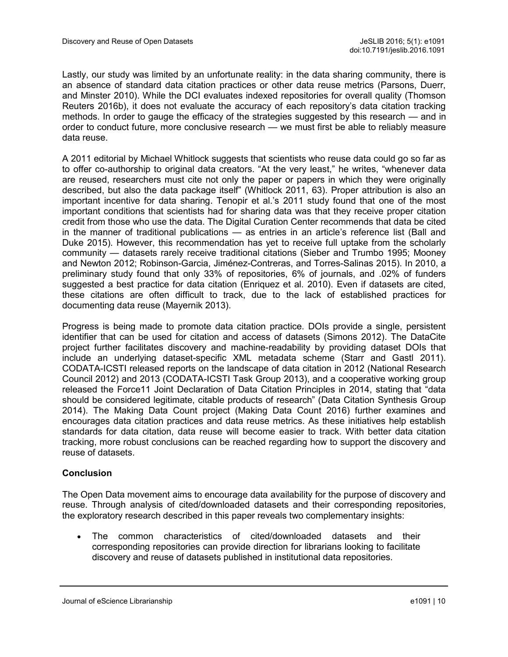Lastly, our study was limited by an unfortunate reality: in the data sharing community, there is an absence of standard data citation practices or other data reuse metrics (Parsons, Duerr, and Minster 2010). While the DCI evaluates indexed repositories for overall quality (Thomson Reuters 2016b), it does not evaluate the accuracy of each repository's data citation tracking methods. In order to gauge the efficacy of the strategies suggested by this research — and in order to conduct future, more conclusive research — we must first be able to reliably measure data reuse.

A 2011 editorial by Michael Whitlock suggests that scientists who reuse data could go so far as to offer co-authorship to original data creators. "At the very least," he writes, "whenever data are reused, researchers must cite not only the paper or papers in which they were originally described, but also the data package itself" (Whitlock 2011, 63). Proper attribution is also an important incentive for data sharing. Tenopir et al.'s 2011 study found that one of the most important conditions that scientists had for sharing data was that they receive proper citation credit from those who use the data. The Digital Curation Center recommends that data be cited in the manner of traditional publications — as entries in an article's reference list (Ball and Duke 2015). However, this recommendation has yet to receive full uptake from the scholarly community — datasets rarely receive traditional citations (Sieber and Trumbo 1995; Mooney and Newton 2012; Robinson-Garcia, Jiménez-Contreras, and Torres-Salinas 2015). In 2010, a preliminary study found that only 33% of repositories, 6% of journals, and .02% of funders suggested a best practice for data citation (Enriquez et al. 2010). Even if datasets are cited, these citations are often difficult to track, due to the lack of established practices for documenting data reuse (Mayernik 2013).

Progress is being made to promote data citation practice. DOIs provide a single, persistent identifier that can be used for citation and access of datasets (Simons 2012). The DataCite project further facilitates discovery and machine-readability by providing dataset DOIs that include an underlying dataset-specific XML metadata scheme (Starr and Gastl 2011). CODATA-ICSTI released reports on the landscape of data citation in 2012 (National Research Council 2012) and 2013 (CODATA-ICSTI Task Group 2013), and a cooperative working group released the Force11 Joint Declaration of Data Citation Principles in 2014, stating that "data should be considered legitimate, citable products of research" (Data Citation Synthesis Group 2014). The Making Data Count project (Making Data Count 2016) further examines and encourages data citation practices and data reuse metrics. As these initiatives help establish standards for data citation, data reuse will become easier to track. With better data citation tracking, more robust conclusions can be reached regarding how to support the discovery and reuse of datasets.

#### **Conclusion**

The Open Data movement aims to encourage data availability for the purpose of discovery and reuse. Through analysis of cited/downloaded datasets and their corresponding repositories, the exploratory research described in this paper reveals two complementary insights:

 The common characteristics of cited/downloaded datasets and their corresponding repositories can provide direction for librarians looking to facilitate discovery and reuse of datasets published in institutional data repositories.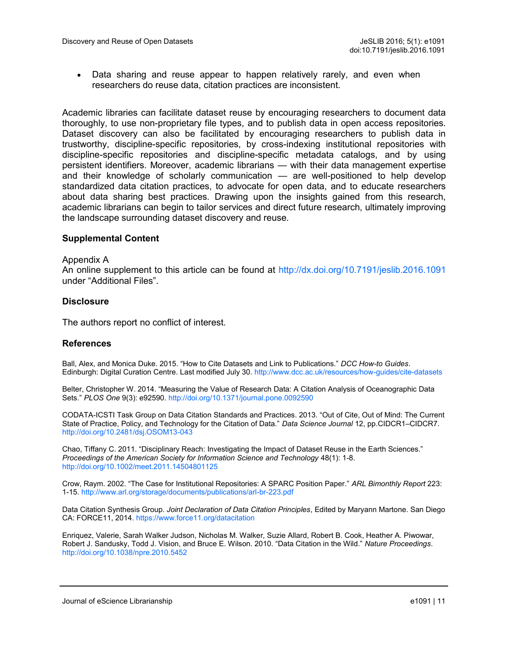• Data sharing and reuse appear to happen relatively rarely, and even when researchers do reuse data, citation practices are inconsistent.

Academic libraries can facilitate dataset reuse by encouraging researchers to document data thoroughly, to use non-proprietary file types, and to publish data in open access repositories. Dataset discovery can also be facilitated by encouraging researchers to publish data in trustworthy, discipline-specific repositories, by cross-indexing institutional repositories with discipline-specific repositories and discipline-specific metadata catalogs, and by using persistent identifiers. Moreover, academic librarians — with their data management expertise and their knowledge of scholarly communication — are well-positioned to help develop standardized data citation practices, to advocate for open data, and to educate researchers about data sharing best practices. Drawing upon the insights gained from this research, academic librarians can begin to tailor services and direct future research, ultimately improving the landscape surrounding dataset discovery and reuse.

#### **Supplemental Content**

#### Appendix A

An online supplement to this article can be found at <http://dx.doi.org/10.7191/jeslib.2016.1091> under "Additional Files".

#### **Disclosure**

The authors report no conflict of interest.

#### **References**

Ball, Alex, and Monica Duke. 2015. "How to Cite Datasets and Link to Publications." *DCC How-to Guides*. Edinburgh: Digital Curation Centre. Last modified July 30. [http://www.dcc.ac.uk/resources/how](http://www.dcc.ac.uk/resources/how-guides/cite-datasets)-guides/cite-datasets

Belter, Christopher W. 2014. "Measuring the Value of Research Data: A Citation Analysis of Oceanographic Data Sets." *PLOS One* 9(3): e92590.<http://doi.org/10.1371/journal.pone.0092590>

CODATA-ICSTI Task Group on Data Citation Standards and Practices. 2013. "Out of Cite, Out of Mind: The Current State of Practice, Policy, and Technology for the Citation of Data." *Data Science Journal* 12, pp.CIDCR1–CIDCR7. [http://doi.org/10.2481/dsj.OSOM13](http://doi.org/10.2481/dsj.OSOM13-043)-043

Chao, Tiffany C. 2011. "Disciplinary Reach: Investigating the Impact of Dataset Reuse in the Earth Sciences." *Proceedings of the American Society for Information Science and Technology* 48(1): 1-8. <http://doi.org/10.1002/meet.2011.14504801125>

Crow, Raym. 2002. "The Case for Institutional Repositories: A SPARC Position Paper." *ARL Bimonthly Report* 223: 1-15. [http://www.arl.org/storage/documents/publications/arl](http://www.arl.org/storage/documents/publications/arl-br-223.pdf)-br-223.pdf

Data Citation Synthesis Group. *Joint Declaration of Data Citation Principles*, Edited by Maryann Martone. San Diego CA: FORCE11, 2014.<https://www.force11.org/datacitation>

Enriquez, Valerie, Sarah Walker Judson, Nicholas M. Walker, Suzie Allard, Robert B. Cook, Heather A. Piwowar, Robert J. Sandusky, Todd J. Vision, and Bruce E. Wilson. 2010. "Data Citation in the Wild." *Nature Proceedings*. <http://doi.org/10.1038/npre.2010.5452>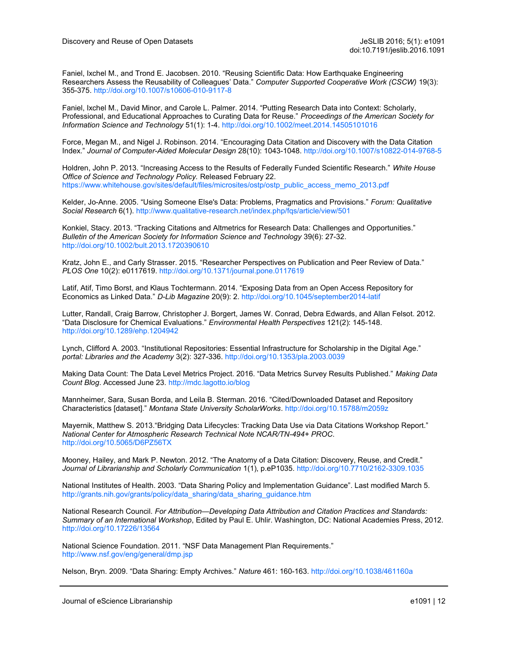Faniel, Ixchel M., and Trond E. Jacobsen. 2010. "Reusing Scientific Data: How Earthquake Engineering Researchers Assess the Reusability of Colleagues' Data." *Computer Supported Cooperative Work (CSCW)* 19(3): 355-375. [http://doi.org/10.1007/s10606](http://doi.org/10.1007/s10606-010-9117-8)-010-9117-8

Faniel, Ixchel M., David Minor, and Carole L. Palmer. 2014. "Putting Research Data into Context: Scholarly, Professional, and Educational Approaches to Curating Data for Reuse." *Proceedings of the American Society for Information Science and Technology* 51(1): 1-4. <http://doi.org/10.1002/meet.2014.14505101016>

Force, Megan M., and Nigel J. Robinson. 2014. "Encouraging Data Citation and Discovery with the Data Citation Index." *Journal of Computer-Aided Molecular Design* 28(10): 1043-1048. [http://doi.org/10.1007/s10822](http://doi.org/10.1007/s10822-014-9768-5)-014-9768-5

Holdren, John P. 2013. "Increasing Access to the Results of Federally Funded Scientific Research." *White House Office of Science and Technology Policy.* Released February 22. https://www.whitehouse.gov/sites/default/files/microsites/ostp/ostp\_public\_access\_memo\_2013.pdf

Kelder, Jo-Anne. 2005. "Using Someone Else's Data: Problems, Pragmatics and Provisions." *Forum: Qualitative Social Research* 6(1). http://www.qualitative-[research.net/index.php/fqs/article/view/501](http://www.qualitative-research.net/index.php/fqs/article/view/501)

Konkiel, Stacy. 2013. "Tracking Citations and Altmetrics for Research Data: Challenges and Opportunities." *Bulletin of the American Society for Information Science and Technology* 39(6): 27-32. <http://doi.org/10.1002/bult.2013.1720390610>

Kratz, John E., and Carly Strasser. 2015. "Researcher Perspectives on Publication and Peer Review of Data." *PLOS One* 10(2): e0117619.<http://doi.org/10.1371/journal.pone.0117619>

Latif, Atif, Timo Borst, and Klaus Tochtermann. 2014. "Exposing Data from an Open Access Repository for Economics as Linked Data." *D-Lib Magazine* 20(9): 2. [http://doi.org/10.1045/september2014](http://doi.org/10.1045/september2014-latif)-latif

Lutter, Randall, Craig Barrow, Christopher J. Borgert, James W. Conrad, Debra Edwards, and Allan Felsot. 2012. "Data Disclosure for Chemical Evaluations." *Environmental Health Perspectives* 121(2): 145-148. <http://doi.org/10.1289/ehp.1204942>

Lynch, Clifford A. 2003. "Institutional Repositories: Essential Infrastructure for Scholarship in the Digital Age." *portal: Libraries and the Academy* 3(2): 327-336.<http://doi.org/10.1353/pla.2003.0039>

Making Data Count: The Data Level Metrics Project. 2016. "Data Metrics Survey Results Published." *Making Data Count Blog*. Accessed June 23.<http://mdc.lagotto.io/blog>

Mannheimer, Sara, Susan Borda, and Leila B. Sterman. 2016. "Cited/Downloaded Dataset and Repository Characteristics [dataset]." *Montana State University ScholarWorks*. <http://doi.org/10.15788/m2059z>

Mayernik, Matthew S. 2013."Bridging Data Lifecycles: Tracking Data Use via Data Citations Workshop Report." *National Center for Atmospheric Research Technical Note NCAR/TN-494+ PROC*. <http://doi.org/10.5065/D6PZ56TX>

Mooney, Hailey, and Mark P. Newton. 2012. "The Anatomy of a Data Citation: Discovery, Reuse, and Credit." *Journal of Librarianship and Scholarly Communication* 1(1), p.eP1035. [http://doi.org/10.7710/2162](http://doi.org/10.7710/2162-3309.1035)-3309.1035

National Institutes of Health. 2003. "Data Sharing Policy and Implementation Guidance". Last modified March 5. [http://grants.nih.gov/grants/policy/data\\_sharing/data\\_sharing\\_guidance.htm](http://grants.nih.gov/grants/policy/data_sharing/data_sharing_guidance.htm)

National Research Council. *For Attribution—Developing Data Attribution and Citation Practices and Standards: Summary of an International Workshop*, Edited by Paul E. Uhlir. Washington, DC: National Academies Press, 2012. <http://doi.org/10.17226/13564>

National Science Foundation. 2011. "NSF Data Management Plan Requirements." <http://www.nsf.gov/eng/general/dmp.jsp>

Nelson, Bryn. 2009. "Data Sharing: Empty Archives." *Nature* 461: 160-163.<http://doi.org/10.1038/461160a>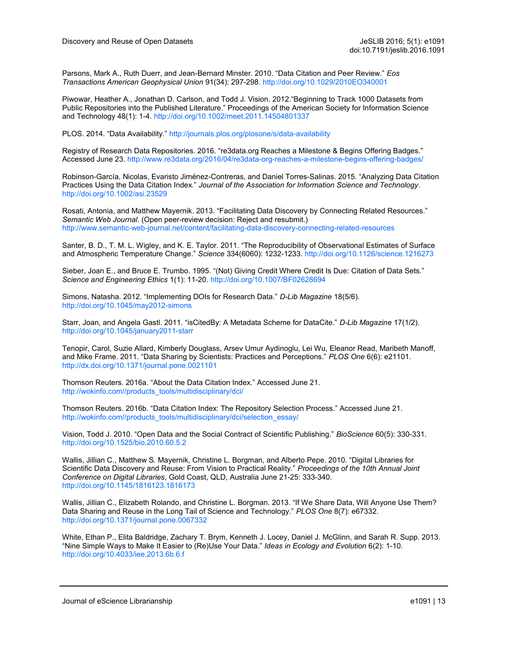Parsons, Mark A., Ruth Duerr, and Jean-Bernard Minster. 2010. "Data Citation and Peer Review." *Eos Transactions American Geophysical Union* 91(34): 297-298. <http://doi.org/10.1029/2010EO340001>

Piwowar, Heather A., Jonathan D. Carlson, and Todd J. Vision. 2012."Beginning to Track 1000 Datasets from Public Repositories into the Published Literature." Proceedings of the American Society for Information Science and Technology 48(1): 1-4. <http://doi.org/10.1002/meet.2011.14504801337>

PLOS. 2014. "Data Availability." [http://journals.plos.org/plosone/s/data](http://journals.plos.org/plosone/s/data-availability)-availability

Registry of Research Data Repositories. 2016. "re3data.org Reaches a Milestone & Begins Offering Badges." Accessed June 23. [http://www.re3data.org/2016/04/re3data](http://www.re3data.org/2016/04/re3data-org-reaches-a-milestone-begins-offering-badges/)-org-reaches-a-milestone-begins-offering-badges/

Robinson-García, Nicolas, Evaristo Jiménez-Contreras, and Daniel Torres-Salinas. 2015. "Analyzing Data Citation Practices Using the Data Citation Index." *Journal of the Association for Information Science and Technology*. <http://doi.org/10.1002/asi.23529>

Rosati, Antonia, and Matthew Mayernik. 2013. "Facilitating Data Discovery by Connecting Related Resources." *Semantic Web Journal*. (Open peer-review decision: Reject and resubmit.) http://www.semantic-web-[journal.net/content/facilitating](http://www.semantic-web-journal.net/content/facilitating-data-discovery-connecting-related-resources)-data-discovery-connecting-related-resources

Santer, B. D., T. M. L. Wigley, and K. E. Taylor. 2011. "The Reproducibility of Observational Estimates of Surface and Atmospheric Temperature Change." *Science* 334(6060): 1232-1233.<http://doi.org/10.1126/science.1216273>

Sieber, Joan E., and Bruce E. Trumbo. 1995. "(Not) Giving Credit Where Credit Is Due: Citation of Data Sets." *Science and Engineering Ethics* 1(1): 11-20. <http://doi.org/10.1007/BF02628694>

Simons, Natasha. 2012. "Implementing DOIs for Research Data." *D-Lib Magazine* 18(5/6). [http://doi.org/10.1045/may2012](http://doi.org/10.1045/may2012-simons)-simons

Starr, Joan, and Angela Gastl. 2011. "isCitedBy: A Metadata Scheme for DataCite." *D-Lib Magazine* 17(1/2). [http://doi.org/10.1045/january2011](http://doi.org/10.1045/january2011-starr)-starr

Tenopir, Carol, Suzie Allard, Kimberly Douglass, Arsev Umur Aydinoglu, Lei Wu, Eleanor Read, Maribeth Manoff, and Mike Frame. 2011. "Data Sharing by Scientists: Practices and Perceptions." *PLOS One* 6(6): e21101. <http://dx.doi.org/10.1371/journal.pone.0021101>

Thomson Reuters. 2016a. "About the Data Citation Index." Accessed June 21. [http://wokinfo.com//products\\_tools/multidisciplinary/dci/](http://wokinfo.com/products_tools/multidisciplinary/dci/)

Thomson Reuters. 2016b. "Data Citation Index: The Repository Selection Process." Accessed June 21. [http://wokinfo.com//products\\_tools/multidisciplinary/dci/selection\\_essay/](http://wokinfo.com/products_tools/multidisciplinary/dci/selection_essay/)

Vision, Todd J. 2010. "Open Data and the Social Contract of Scientific Publishing." *BioScience* 60(5): 330-331. <http://doi.org/10.1525/bio.2010.60.5.2>

Wallis, Jillian C., Matthew S. Mayernik, Christine L. Borgman, and Alberto Pepe. 2010. "Digital Libraries for Scientific Data Discovery and Reuse: From Vision to Practical Reality." *Proceedings of the 10th Annual Joint Conference on Digital Libraries*, Gold Coast, QLD, Australia June 21-25: 333-340. <http://doi.org/10.1145/1816123.1816173>

Wallis, Jillian C., Elizabeth Rolando, and Christine L. Borgman. 2013. "If We Share Data, Will Anyone Use Them? Data Sharing and Reuse in the Long Tail of Science and Technology." *PLOS One* 8(7): e67332. <http://doi.org/10.1371/journal.pone.0067332>

White, Ethan P., Elita Baldridge, Zachary T. Brym, Kenneth J. Locey, Daniel J. McGlinn, and Sarah R. Supp. 2013. "Nine Simple Ways to Make It Easier to (Re)Use Your Data." *Ideas in Ecology and Evolution* 6(2): 1-10. <http://doi.org/10.4033/iee.2013.6b.6.f>